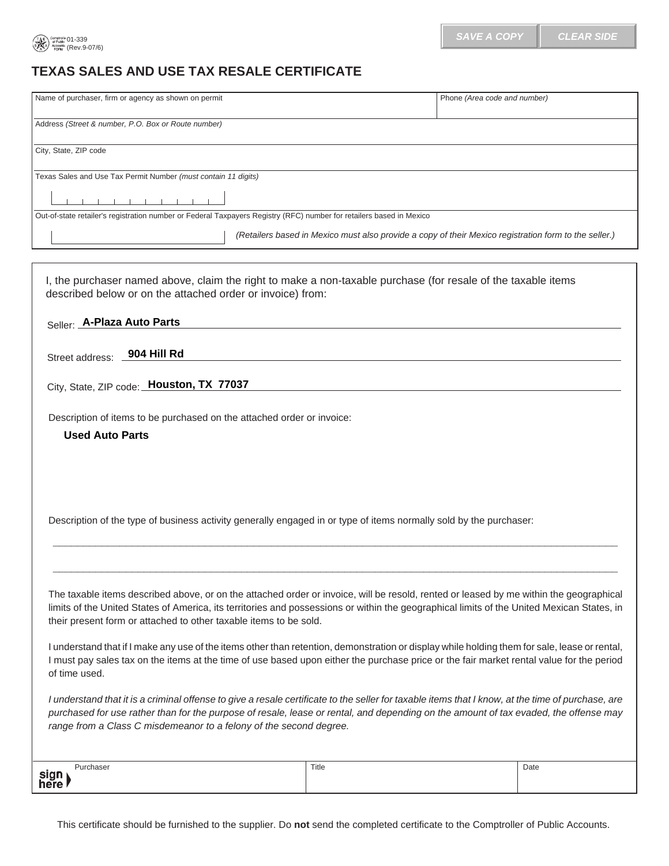

## **TEXAS SALES AND USE TAX RESALE CERTIFICATE**

| Name of purchaser, firm or agency as shown on permit                                                                                                                        | Phone (Area code and number)                                                                          |
|-----------------------------------------------------------------------------------------------------------------------------------------------------------------------------|-------------------------------------------------------------------------------------------------------|
| Address (Street & number, P.O. Box or Route number)                                                                                                                         |                                                                                                       |
| City, State, ZIP code                                                                                                                                                       |                                                                                                       |
| Texas Sales and Use Tax Permit Number (must contain 11 digits)                                                                                                              |                                                                                                       |
|                                                                                                                                                                             |                                                                                                       |
| Out-of-state retailer's registration number or Federal Taxpayers Registry (RFC) number for retailers based in Mexico                                                        |                                                                                                       |
|                                                                                                                                                                             | (Retailers based in Mexico must also provide a copy of their Mexico registration form to the seller.) |
|                                                                                                                                                                             |                                                                                                       |
| I, the purchaser named above, claim the right to make a non-taxable purchase (for resale of the taxable items<br>described below or on the attached order or invoice) from: |                                                                                                       |
| Seller: A-Plaza Auto Parts                                                                                                                                                  |                                                                                                       |
| 904 Hill Rd<br>Street address:                                                                                                                                              |                                                                                                       |
| City, State, ZIP code: Houston, TX 77037                                                                                                                                    |                                                                                                       |

Description of items to be purchased on the attached order or invoice:

**Used Auto Parts** 

Description of the type of business activity generally engaged in or type of items normally sold by the purchaser:

The taxable items described above, or on the attached order or invoice, will be resold, rented or leased by me within the geographical limits of the United States of America, its territories and possessions or within the geographical limits of the United Mexican States, in their present form or attached to other taxable items to be sold. The taxable items described above, or on the attached order or invoice, will be resold, rented or leased by me within the geographica<br>mits of the United States of America, its territories and possessions or within the geog

**\_\_\_\_\_\_\_\_\_\_\_\_\_\_\_\_\_\_\_\_\_\_\_\_\_\_\_\_\_\_\_\_\_\_\_\_\_\_\_\_\_\_\_\_\_\_\_\_\_\_\_\_\_\_\_\_\_\_\_\_\_\_\_\_\_\_\_\_\_\_\_\_\_\_\_\_\_\_\_\_\_\_\_\_\_\_\_\_\_\_\_\_\_**

I understand that if I make any use of the items other than retention, demonstration or display while holding them for sale, lease or rental, I must pay sales tax on the items at the time of use based upon either the purchase price or the fair market rental value for the period of time used.

*I understand that it is a criminal offense to give a resale certificate to the seller for taxable items that I know, at the time of purchase, are purchased for use rather than for the purpose of resale, lease or rental, and depending on the amount of tax evaded, the offense may range from a Class C misdemeanor to a felony of the second degree.* 

| $J1$ rohoor<br>וספו | Title<br>$\sim$ $\sim$ | Date |
|---------------------|------------------------|------|
| sign<br>here        |                        |      |